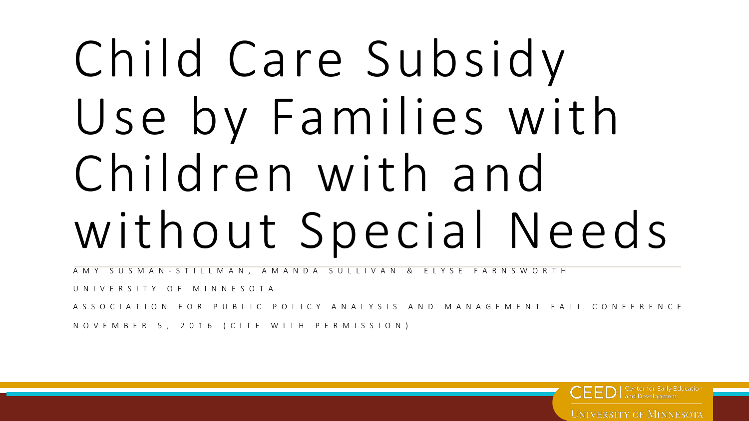# Child Care Subsidy Use by Families with Children with and without Special Needs

AMY SUSMAN - STILLMAN, AMANDA SULLIVAN & ELYSE FARNSWORTH

UNIVERSITY OF MINNESOTA

ASSOCIATION FOR PUBLIC POLICY ANALYSIS AND MANAGEMENT FALL CONFERENCE

NOVEMBER 5, 2016 (CITE WITH PERMISSION)

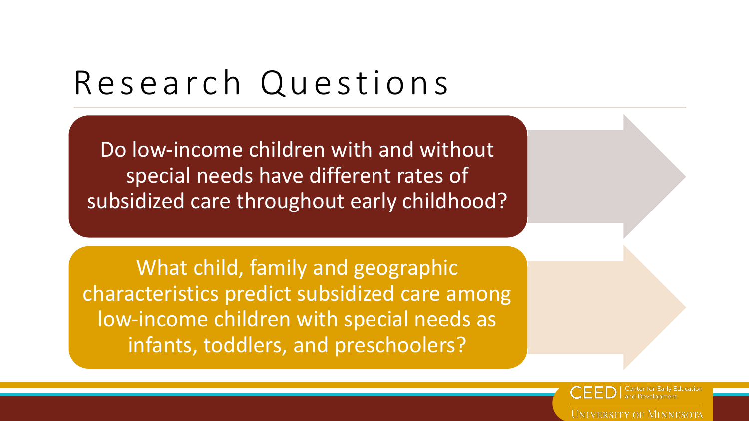#### Research Questions

Do low-income children with and without special needs have different rates of subsidized care throughout early childhood?

What child, family and geographic characteristics predict subsidized care among low-income children with special needs as infants, toddlers, and preschoolers?

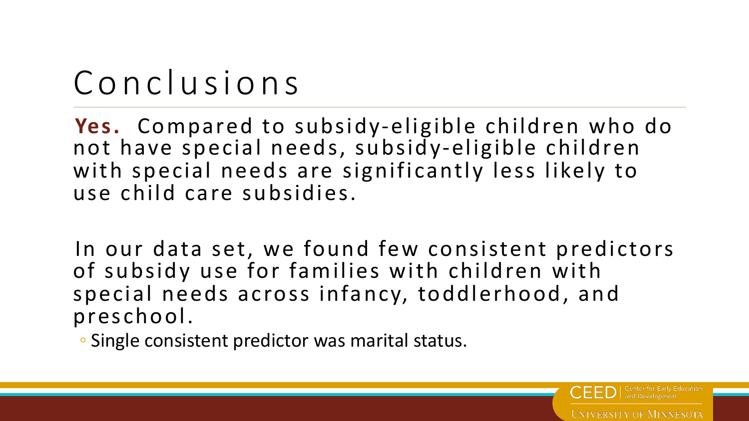### Conclusions

Yes. Compared to subsidy-eligible children who do not have special needs, subsidy-eligible children with special needs are significantly less likely to use child care subsidies.

In our data set, we found few consistent predictors of subsidy use for families with children with special needs across infancy, toddlerhood, and preschool. 

**UNIVERSITY OF MINNESOTA** 

• Single consistent predictor was marital status.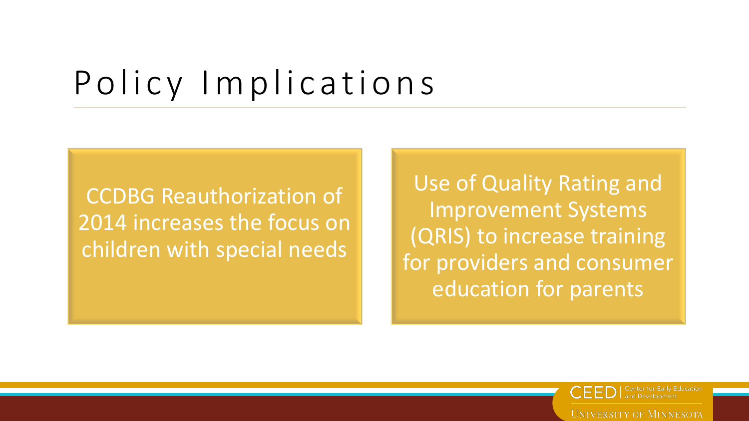#### Policy Implications

CCDBG Reauthorization of 2014 increases the focus on children with special needs

Use of Quality Rating and Improvement Systems (QRIS) to increase training for providers and consumer education for parents

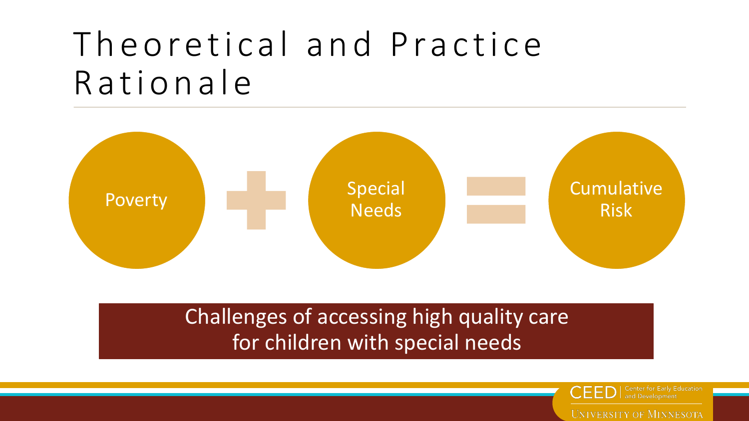#### Theoretical and Practice Rationale



#### Challenges of accessing high quality care for children with special needs



**Center for Early Education**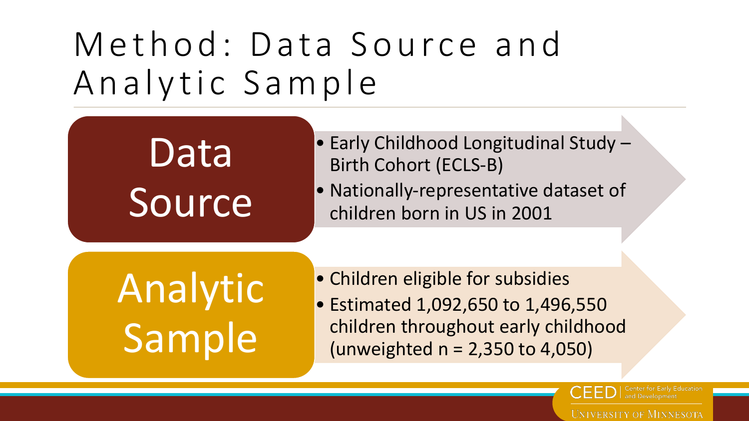### Method: Data Source and Analytic Sample

## Data Source

- Early Childhood Longitudinal Study -Birth Cohort (ECLS-B)
- Nationally-representative dataset of children born in US in 2001

Analytic Sample

- Children eligible for subsidies
- Estimated 1,092,650 to 1,496,550 children throughout early childhood (unweighted  $n = 2,350$  to 4,050)

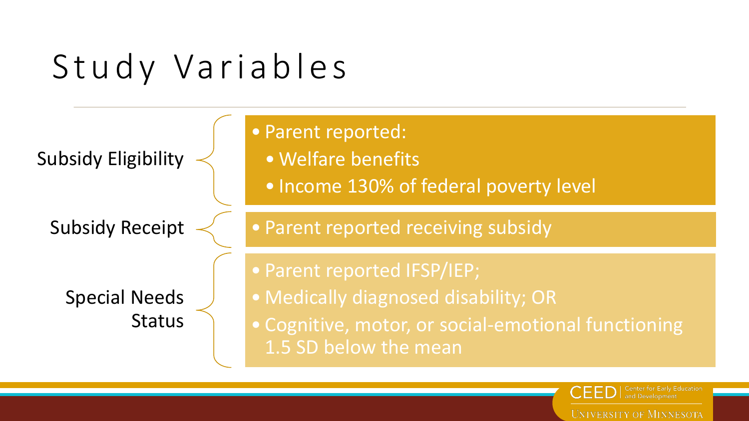### Study Variables



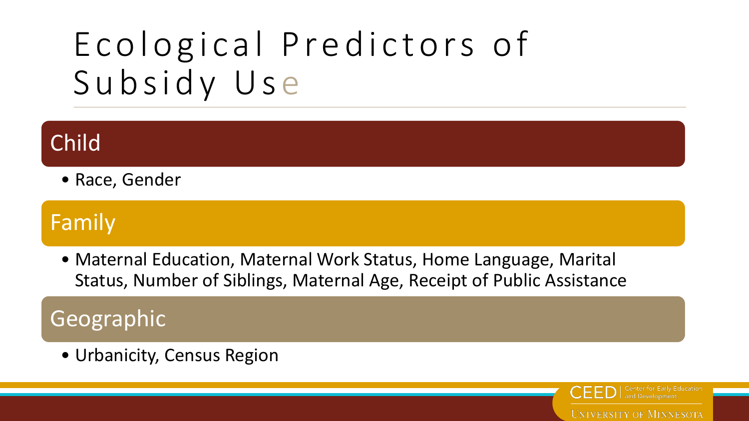### Ecological Predictors of Subsidy Use

#### Child

• Race, Gender

#### Family

• Maternal Education, Maternal Work Status, Home Language, Marital Status, Number of Siblings, Maternal Age, Receipt of Public Assistance

#### Geographic

• Urbanicity, Census Region

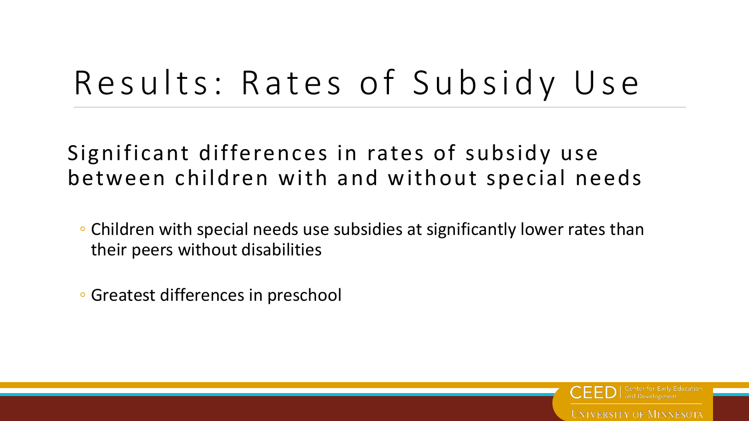#### Results: Rates of Subsidy Use

#### Significant differences in rates of subsidy use between children with and without special needs

- Children with special needs use subsidies at significantly lower rates than their peers without disabilities
- Greatest differences in preschool

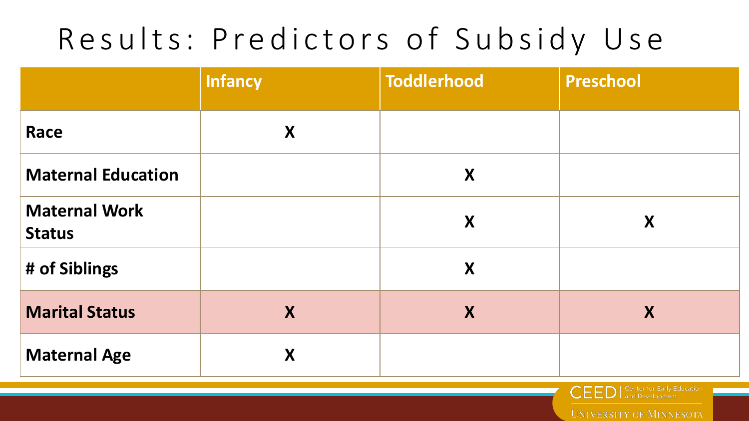#### Results: Predictors of Subsidy Use

|                                       | Infancy | <b>Toddlerhood</b> | <b>Preschool</b> |
|---------------------------------------|---------|--------------------|------------------|
| Race                                  | X       |                    |                  |
| <b>Maternal Education</b>             |         | X                  |                  |
| <b>Maternal Work</b><br><b>Status</b> |         | X                  | X                |
| # of Siblings                         |         | X                  |                  |
| <b>Marital Status</b>                 | X       | X                  | X                |
| <b>Maternal Age</b>                   | X       |                    |                  |



and Development